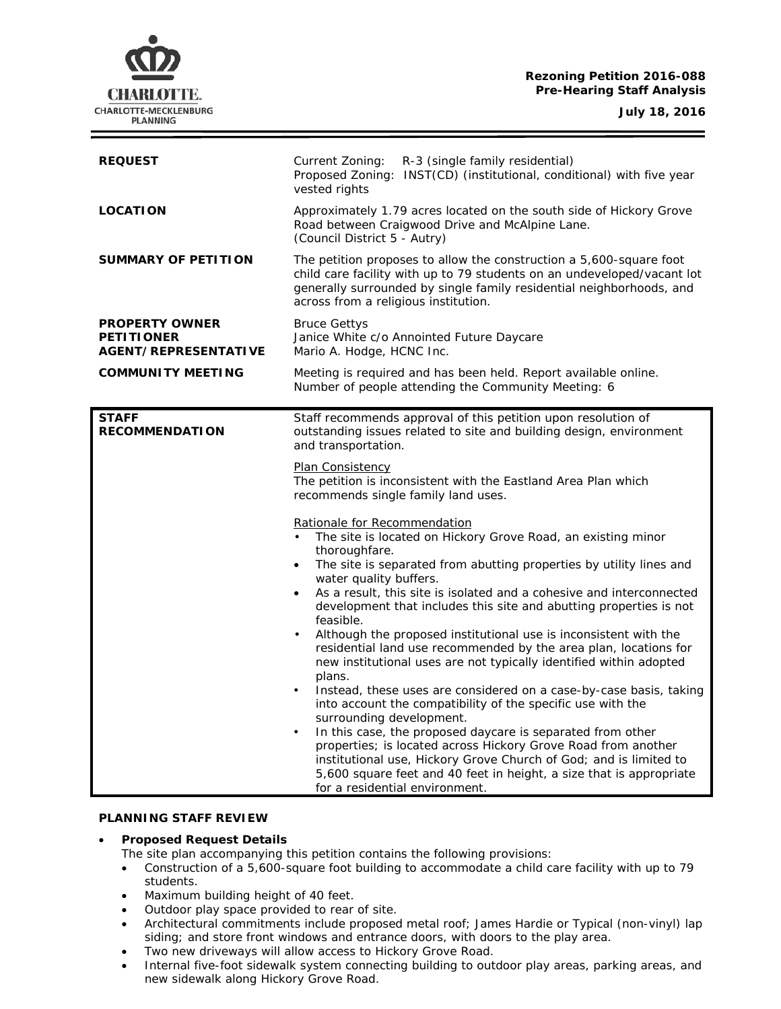**Rezoning Petition 2016-088 Pre-Hearing Staff Analysis**

**CHARLOTTE.** CHARLOTTE-MECKLENBURG **PLANNING** 

**July 18, 2016**

| <b>REQUEST</b>                                                     | Current Zoning:<br>R-3 (single family residential)<br>Proposed Zoning: INST(CD) (institutional, conditional) with five year<br>vested rights                                                                                                                                                                                                                                                                                                                                                                                                                                                                                                                                                                                                                                                                                                                                                                                                                                                                                                                                                                                                                                                                        |
|--------------------------------------------------------------------|---------------------------------------------------------------------------------------------------------------------------------------------------------------------------------------------------------------------------------------------------------------------------------------------------------------------------------------------------------------------------------------------------------------------------------------------------------------------------------------------------------------------------------------------------------------------------------------------------------------------------------------------------------------------------------------------------------------------------------------------------------------------------------------------------------------------------------------------------------------------------------------------------------------------------------------------------------------------------------------------------------------------------------------------------------------------------------------------------------------------------------------------------------------------------------------------------------------------|
| <b>LOCATION</b>                                                    | Approximately 1.79 acres located on the south side of Hickory Grove<br>Road between Craigwood Drive and McAlpine Lane.<br>(Council District 5 - Autry)                                                                                                                                                                                                                                                                                                                                                                                                                                                                                                                                                                                                                                                                                                                                                                                                                                                                                                                                                                                                                                                              |
| <b>SUMMARY OF PETITION</b>                                         | The petition proposes to allow the construction a 5,600-square foot<br>child care facility with up to 79 students on an undeveloped/vacant lot<br>generally surrounded by single family residential neighborhoods, and<br>across from a religious institution.                                                                                                                                                                                                                                                                                                                                                                                                                                                                                                                                                                                                                                                                                                                                                                                                                                                                                                                                                      |
| <b>PROPERTY OWNER</b><br><b>PETITIONER</b><br>AGENT/REPRESENTATIVE | <b>Bruce Gettys</b><br>Janice White c/o Annointed Future Daycare<br>Mario A. Hodge, HCNC Inc.                                                                                                                                                                                                                                                                                                                                                                                                                                                                                                                                                                                                                                                                                                                                                                                                                                                                                                                                                                                                                                                                                                                       |
| <b>COMMUNITY MEETING</b>                                           | Meeting is required and has been held. Report available online.<br>Number of people attending the Community Meeting: 6                                                                                                                                                                                                                                                                                                                                                                                                                                                                                                                                                                                                                                                                                                                                                                                                                                                                                                                                                                                                                                                                                              |
| <b>STAFF</b><br><b>RECOMMENDATION</b>                              | Staff recommends approval of this petition upon resolution of<br>outstanding issues related to site and building design, environment<br>and transportation.                                                                                                                                                                                                                                                                                                                                                                                                                                                                                                                                                                                                                                                                                                                                                                                                                                                                                                                                                                                                                                                         |
|                                                                    | <b>Plan Consistency</b><br>The petition is inconsistent with the Eastland Area Plan which<br>recommends single family land uses.<br>Rationale for Recommendation<br>The site is located on Hickory Grove Road, an existing minor<br>thoroughfare.<br>The site is separated from abutting properties by utility lines and<br>water quality buffers.<br>As a result, this site is isolated and a cohesive and interconnected<br>development that includes this site and abutting properties is not<br>feasible.<br>Although the proposed institutional use is inconsistent with the<br>residential land use recommended by the area plan, locations for<br>new institutional uses are not typically identified within adopted<br>plans.<br>Instead, these uses are considered on a case-by-case basis, taking<br>into account the compatibility of the specific use with the<br>surrounding development.<br>In this case, the proposed daycare is separated from other<br>properties; is located across Hickory Grove Road from another<br>institutional use, Hickory Grove Church of God; and is limited to<br>5,600 square feet and 40 feet in height, a size that is appropriate<br>for a residential environment. |

#### **PLANNING STAFF REVIEW**

- **Proposed Request Details**
	- The site plan accompanying this petition contains the following provisions:
	- Construction of a 5,600-square foot building to accommodate a child care facility with up to 79 students.
	- Maximum building height of 40 feet.
	- Outdoor play space provided to rear of site.
	- Architectural commitments include proposed metal roof; James Hardie or Typical (non-vinyl) lap siding; and store front windows and entrance doors, with doors to the play area.
	- Two new driveways will allow access to Hickory Grove Road.
	- Internal five-foot sidewalk system connecting building to outdoor play areas, parking areas, and new sidewalk along Hickory Grove Road.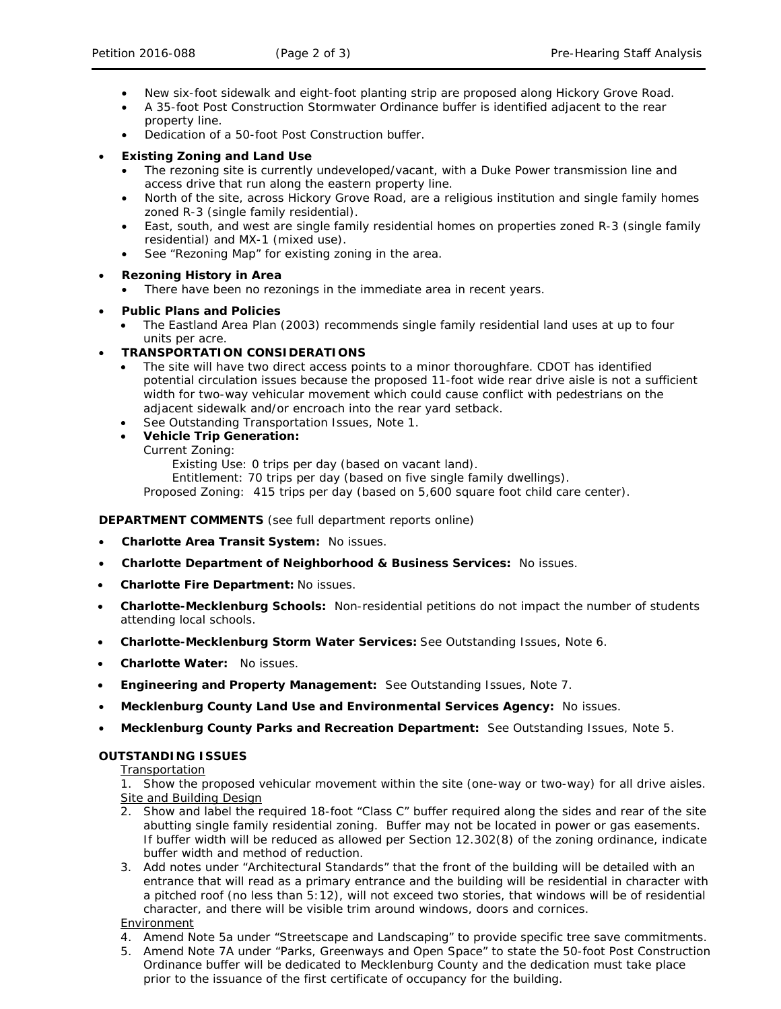- New six-foot sidewalk and eight-foot planting strip are proposed along Hickory Grove Road.
- A 35-foot Post Construction Stormwater Ordinance buffer is identified adjacent to the rear property line.
- Dedication of a 50-foot Post Construction buffer.

# • **Existing Zoning and Land Use**

- The rezoning site is currently undeveloped/vacant, with a Duke Power transmission line and access drive that run along the eastern property line.
- North of the site, across Hickory Grove Road, are a religious institution and single family homes zoned R-3 (single family residential).
- East, south, and west are single family residential homes on properties zoned R-3 (single family residential) and MX-1 (mixed use).
- See "Rezoning Map" for existing zoning in the area.
- **Rezoning History in Area**
	- There have been no rezonings in the immediate area in recent years.

# • **Public Plans and Policies**

• The *Eastland Area Plan* (2003) recommends single family residential land uses at up to four units per acre.

# • **TRANSPORTATION CONSIDERATIONS**

- The site will have two direct access points to a minor thoroughfare. CDOT has identified potential circulation issues because the proposed 11-foot wide rear drive aisle is not a sufficient width for two-way vehicular movement which could cause conflict with pedestrians on the adjacent sidewalk and/or encroach into the rear yard setback.
- See Outstanding Transportation Issues, Note 1.
- **Vehicle Trip Generation:**
	- Current Zoning:

Existing Use: 0 trips per day (based on vacant land).

Entitlement: 70 trips per day (based on five single family dwellings).

Proposed Zoning: 415 trips per day (based on 5,600 square foot child care center).

## **DEPARTMENT COMMENTS** (see full department reports online)

- **Charlotte Area Transit System:** No issues.
- **Charlotte Department of Neighborhood & Business Services:** No issues.
- **Charlotte Fire Department:** No issues.
- **Charlotte-Mecklenburg Schools:** Non-residential petitions do not impact the number of students attending local schools.
- **Charlotte-Mecklenburg Storm Water Services:** See Outstanding Issues, Note 6.
- **Charlotte Water:** No issues.
- **Engineering and Property Management:** See Outstanding Issues, Note 7.
- **Mecklenburg County Land Use and Environmental Services Agency:** No issues.
- **Mecklenburg County Parks and Recreation Department:** See Outstanding Issues, Note 5.

## **OUTSTANDING ISSUES**

Transportation

1. Show the proposed vehicular movement within the site (one-way or two-way) for all drive aisles. Site and Building Design

- 2. Show and label the required 18-foot "Class C" buffer required along the sides and rear of the site abutting single family residential zoning. Buffer may not be located in power or gas easements. If buffer width will be reduced as allowed per Section 12.302(8) of the zoning ordinance, indicate buffer width and method of reduction.
- 3. Add notes under "Architectural Standards" that the front of the building will be detailed with an entrance that will read as a primary entrance and the building will be residential in character with a pitched roof (no less than 5:12), will not exceed two stories, that windows will be of residential character, and there will be visible trim around windows, doors and cornices.

# Environment

- 4. Amend Note 5a under "Streetscape and Landscaping" to provide specific tree save commitments.
- 5. Amend Note 7A under "Parks, Greenways and Open Space" to state the 50-foot Post Construction Ordinance buffer will be dedicated to Mecklenburg County and the dedication must take place prior to the issuance of the first certificate of occupancy for the building.